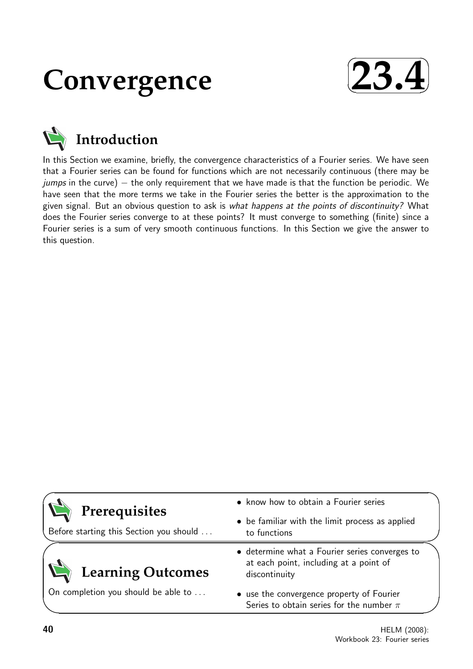# **Convergence**





In this Section we examine, briefly, the convergence characteristics of a Fourier series. We have seen that a Fourier series can be found for functions which are not necessarily continuous (there may be  $jumps$  in the curve)  $-$  the only requirement that we have made is that the function be periodic. We have seen that the more terms we take in the Fourier series the better is the approximation to the given signal. But an obvious question to ask is what happens at the points of discontinuity? What does the Fourier series converge to at these points? It must converge to something (finite) since a Fourier series is a sum of very smooth continuous functions. In this Section we give the answer to this question.

| Prerequisites<br>Before starting this Section you should | • know how to obtain a Fourier series<br>• be familiar with the limit process as applied<br>to functions  |  |
|----------------------------------------------------------|-----------------------------------------------------------------------------------------------------------|--|
| Learning Outcomes                                        | • determine what a Fourier series converges to<br>at each point, including at a point of<br>discontinuity |  |
| On completion you should be able to                      | • use the convergence property of Fourier                                                                 |  |

Series to obtain series for the number  $\pi$ 

 $\overline{\phantom{0}}$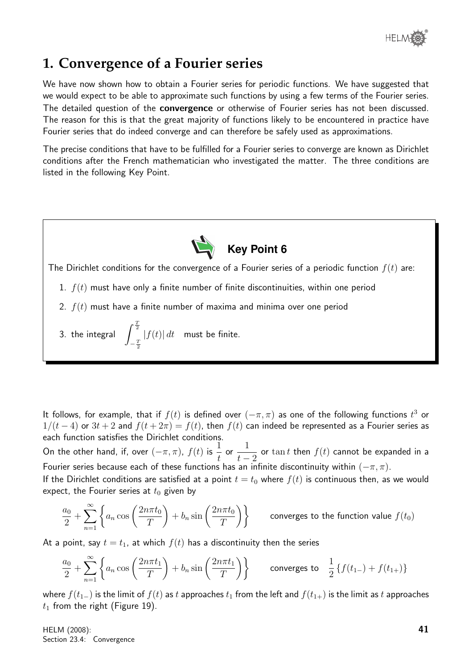

# **1. Convergence of a Fourier series**

We have now shown how to obtain a Fourier series for periodic functions. We have suggested that we would expect to be able to approximate such functions by using a few terms of the Fourier series. The detailed question of the **convergence** or otherwise of Fourier series has not been discussed. The reason for this is that the great majority of functions likely to be encountered in practice have Fourier series that do indeed converge and can therefore be safely used as approximations.

The precise conditions that have to be fulfilled for a Fourier series to converge are known as Dirichlet conditions after the French mathematician who investigated the matter. The three conditions are listed in the following Key Point.



The Dirichlet conditions for the convergence of a Fourier series of a periodic function  $f(t)$  are:

- 1.  $f(t)$  must have only a finite number of finite discontinuities, within one period
- 2.  $f(t)$  must have a finite number of maxima and minima over one period
- 3. the integral  $\int^{\frac{7}{2}}$  $-\frac{7}{2}$ 2  $|f(t)| dt$  must be finite.

It follows, for example, that if  $f(t)$  is defined over  $(-\pi, \pi)$  as one of the following functions  $t^3$  or  $1/(t-4)$  or  $3t+2$  and  $f(t+2\pi) = f(t)$ , then  $f(t)$  can indeed be represented as a Fourier series as each function satisfies the Dirichlet conditions.

On the other hand, if, over  $(-\pi, \pi)$ ,  $f(t)$  is  $\frac{1}{t}$ t or 1  $t-2$ or  $\tan t$  then  $f(t)$  cannot be expanded in a Fourier series because each of these functions has an infinite discontinuity within  $(-\pi, \pi)$ .

If the Dirichlet conditions are satisfied at a point  $t = t_0$  where  $f(t)$  is continuous then, as we would expect, the Fourier series at  $t_0$  given by

$$
\frac{a_0}{2} + \sum_{n=1}^{\infty} \left\{ a_n \cos\left(\frac{2n\pi t_0}{T}\right) + b_n \sin\left(\frac{2n\pi t_0}{T}\right) \right\}
$$
 converges to the function value  $f(t_0)$ 

At a point, say  $t = t_1$ , at which  $f(t)$  has a discontinuity then the series

$$
\frac{a_0}{2} + \sum_{n=1}^{\infty} \left\{ a_n \cos\left(\frac{2n\pi t_1}{T}\right) + b_n \sin\left(\frac{2n\pi t_1}{T}\right) \right\} \qquad \text{converges to} \quad \frac{1}{2} \left\{ f(t_{1-}) + f(t_{1+}) \right\}
$$

where  $f(t_{1-})$  is the limit of  $f(t)$  as t approaches  $t_1$  from the left and  $f(t_{1+})$  is the limit as t approaches  $t_1$  from the right (Figure 19).

HELM (2008): Section 23.4: Convergence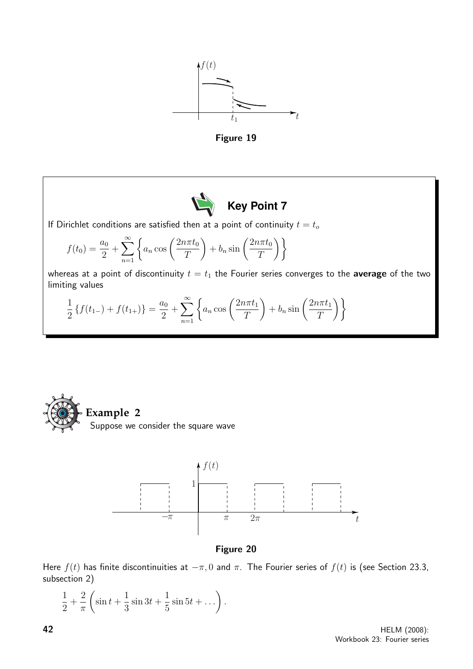

Figure 19



If Dirichlet conditions are satisfied then at a point of continuity  $t = t_o$ 

$$
f(t_0) = \frac{a_0}{2} + \sum_{n=1}^{\infty} \left\{ a_n \cos\left(\frac{2n\pi t_0}{T}\right) + b_n \sin\left(\frac{2n\pi t_0}{T}\right) \right\}
$$

whereas at a point of discontinuity  $t = t_1$  the Fourier series converges to the average of the two limiting values

$$
\frac{1}{2} \left\{ f(t_{1-}) + f(t_{1+}) \right\} = \frac{a_0}{2} + \sum_{n=1}^{\infty} \left\{ a_n \cos \left( \frac{2n\pi t_1}{T} \right) + b_n \sin \left( \frac{2n\pi t_1}{T} \right) \right\}
$$







Here  $f(t)$  has finite discontinuities at  $-\pi$ , 0 and  $\pi$ . The Fourier series of  $f(t)$  is (see Section 23.3, subsection 2)

$$
\frac{1}{2} + \frac{2}{\pi} \left( \sin t + \frac{1}{3} \sin 3t + \frac{1}{5} \sin 5t + \dots \right).
$$

**42** HELM (2008): Workbook 23: Fourier series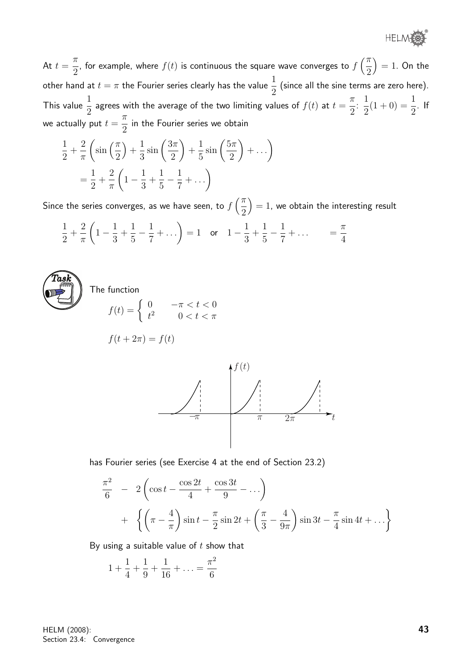®

At  $t =$  $\pi$ 2 , for example, where  $f(t)$  is continuous the square wave converges to  $f\left(\frac{\pi}{2}\right)$ 2  $= 1.$  On the other hand at  $t = \pi$  the Fourier series clearly has the value  $\frac{1}{2}$ 2 (since all the sine terms are zero here). This value  $\frac{1}{2}$ 2 agrees with the average of the two limiting values of  $f(t)$  at  $t=\pm$  $\pi$ 2 : 1 2  $(1+0) = \frac{1}{2}$ 2 . If we actually put  $t =$  $\pi$ 2 in the Fourier series we obtain

$$
\frac{1}{2} + \frac{2}{\pi} \left( \sin\left(\frac{\pi}{2}\right) + \frac{1}{3} \sin\left(\frac{3\pi}{2}\right) + \frac{1}{5} \sin\left(\frac{5\pi}{2}\right) + \dots \right)
$$

$$
= \frac{1}{2} + \frac{2}{\pi} \left( 1 - \frac{1}{3} + \frac{1}{5} - \frac{1}{7} + \dots \right)
$$

Since the series converges, as we have seen, to  $f\left(\frac{\pi}{2}\right)$ 2  $= 1$ , we obtain the interesting result

$$
\frac{1}{2} + \frac{2}{\pi} \left( 1 - \frac{1}{3} + \frac{1}{5} - \frac{1}{7} + \dots \right) = 1 \quad \text{or} \quad 1 - \frac{1}{3} + \frac{1}{5} - \frac{1}{7} + \dotsb = \frac{\pi}{4}
$$



The function  
\n
$$
f(t) = \begin{cases} 0 & -\pi < t < 0 \\ t^2 & 0 < t < \pi \end{cases}
$$
\n
$$
f(t + 2\pi) = f(t)
$$



has Fourier series (see Exercise 4 at the end of Section 23.2)

$$
\frac{\pi^2}{6} - 2\left(\cos t - \frac{\cos 2t}{4} + \frac{\cos 3t}{9} - \dots\right) \n+ \left\{\left(\pi - \frac{4}{\pi}\right)\sin t - \frac{\pi}{2}\sin 2t + \left(\frac{\pi}{3} - \frac{4}{9\pi}\right)\sin 3t - \frac{\pi}{4}\sin 4t + \dots\right\}
$$

By using a suitable value of  $t$  show that

$$
1 + \frac{1}{4} + \frac{1}{9} + \frac{1}{16} + \ldots = \frac{\pi^2}{6}
$$

HELM (2008): Section 23.4: Convergence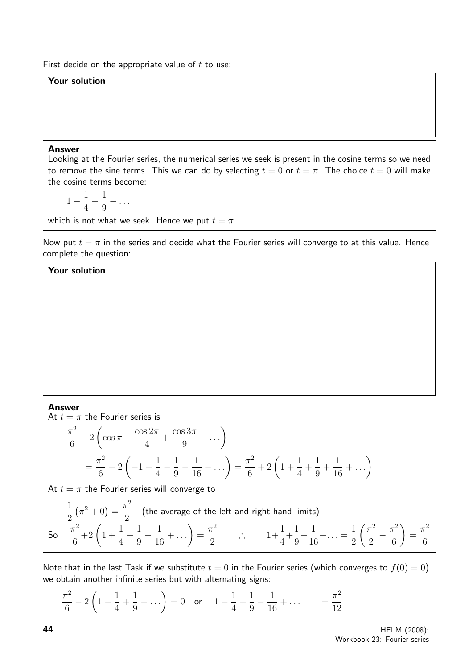First decide on the appropriate value of  $t$  to use:

## Your solution

#### Answer

Looking at the Fourier series, the numerical series we seek is present in the cosine terms so we need to remove the sine terms. This we can do by selecting  $t = 0$  or  $t = \pi$ . The choice  $t = 0$  will make the cosine terms become:

$$
1-\frac{1}{4}+\frac{1}{9}-\ldots
$$

which is not what we seek. Hence we put  $t = \pi$ .

Now put  $t = \pi$  in the series and decide what the Fourier series will converge to at this value. Hence complete the question:

Your solution

#### Answer

At  $t = \pi$  the Fourier series is

$$
\frac{\pi^2}{6} - 2\left(\cos \pi - \frac{\cos 2\pi}{4} + \frac{\cos 3\pi}{9} - \dots\right)
$$
  
= 
$$
\frac{\pi^2}{6} - 2\left(-1 - \frac{1}{4} - \frac{1}{9} - \frac{1}{16} - \dots\right) = \frac{\pi^2}{6} + 2\left(1 + \frac{1}{4} + \frac{1}{9} + \frac{1}{16} + \dots\right)
$$

At  $t = \pi$  the Fourier series will converge to

$$
\frac{1}{2}(\pi^2 + 0) = \frac{\pi^2}{2}
$$
 (the average of the left and right hand limits)  
So 
$$
\frac{\pi^2}{6} + 2\left(1 + \frac{1}{4} + \frac{1}{9} + \frac{1}{16} + \dots\right) = \frac{\pi^2}{2}
$$
  $\therefore$  
$$
1 + \frac{1}{4} + \frac{1}{9} + \frac{1}{16} + \dots = \frac{1}{2}\left(\frac{\pi^2}{2} - \frac{\pi^2}{6}\right) = \frac{\pi^2}{6}
$$

Note that in the last Task if we substitute  $t = 0$  in the Fourier series (which converges to  $f(0) = 0$ ) we obtain another infinite series but with alternating signs:

$$
\frac{\pi^2}{6} - 2\left(1 - \frac{1}{4} + \frac{1}{9} - \dots\right) = 0 \quad \text{or} \quad 1 - \frac{1}{4} + \frac{1}{9} - \frac{1}{16} + \dotsb = \frac{\pi^2}{12}
$$